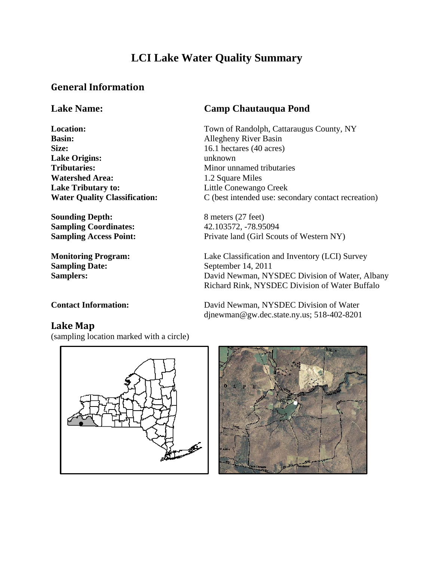## **LCI Lake Water Quality Summary**

#### **General Information**

**Basin:** Allegheny River Basin **Size:** 16.1 hectares (40 acres) **Lake Origins:** unknown **Tributaries:** Minor unnamed tributaries **Watershed Area:** 1.2 Square Miles **Lake Tributary to:** Little Conewango Creek

**Sounding Depth:** 8 meters (27 feet) **Sampling Coordinates:** 42.103572, -78.95094

**Sampling Date:** September 14, 2011

#### **Lake Name: Camp Chautauqua Pond**

**Location:** Town of Randolph, Cattaraugus County, NY **Water Quality Classification:** C (best intended use: secondary contact recreation)

**Sampling Access Point:** Private land (Girl Scouts of Western NY)

**Monitoring Program:** Lake Classification and Inventory (LCI) Survey Samplers: David Newman, NYSDEC Division of Water, Albany Richard Rink, NYSDEC Division of Water Buffalo

djnewman@gw.dec.state.ny.us; 518-402-8201

#### **Contact Information:** David Newman, NYSDEC Division of Water

#### **Lake Map**

(sampling location marked with a circle)



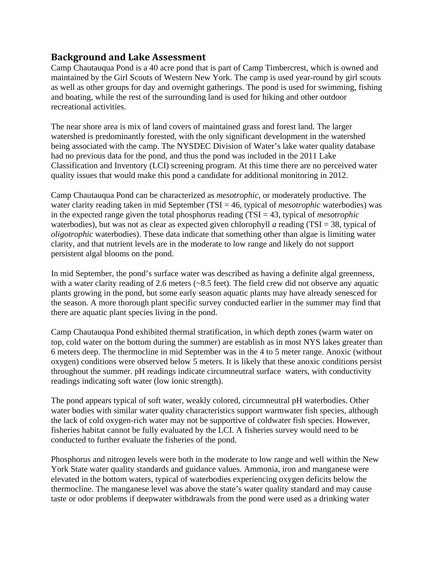#### **Background and Lake Assessment**

Camp Chautauqua Pond is a 40 acre pond that is part of Camp Timbercrest, which is owned and maintained by the Girl Scouts of Western New York. The camp is used year-round by girl scouts as well as other groups for day and overnight gatherings. The pond is used for swimming, fishing and boating, while the rest of the surrounding land is used for hiking and other outdoor recreational activities.

The near shore area is mix of land covers of maintained grass and forest land. The larger watershed is predominantly forested, with the only significant development in the watershed being associated with the camp. The NYSDEC Division of Water's lake water quality database had no previous data for the pond, and thus the pond was included in the 2011 Lake Classification and Inventory (LCI) screening program. At this time there are no perceived water quality issues that would make this pond a candidate for additional monitoring in 2012.

Camp Chautauqua Pond can be characterized as *mesotrophic*, or moderately productive. The water clarity reading taken in mid September (TSI = 46, typical of *mesotrophic* waterbodies) was in the expected range given the total phosphorus reading (TSI = 43, typical of *mesotrophic* waterbodies), but was not as clear as expected given chlorophyll *a* reading (TSI = 38, typical of *oligotrophic* waterbodies). These data indicate that something other than algae is limiting water clarity, and that nutrient levels are in the moderate to low range and likely do not support persistent algal blooms on the pond.

In mid September, the pond's surface water was described as having a definite algal greenness, with a water clarity reading of 2.6 meters (~8.5 feet). The field crew did not observe any aquatic plants growing in the pond, but some early season aquatic plants may have already senesced for the season. A more thorough plant specific survey conducted earlier in the summer may find that there are aquatic plant species living in the pond.

Camp Chautauqua Pond exhibited thermal stratification, in which depth zones (warm water on top, cold water on the bottom during the summer) are establish as in most NYS lakes greater than 6 meters deep. The thermocline in mid September was in the 4 to 5 meter range. Anoxic (without oxygen) conditions were observed below 5 meters. It is likely that these anoxic conditions persist throughout the summer. pH readings indicate circumneutral surface waters, with conductivity readings indicating soft water (low ionic strength).

The pond appears typical of soft water, weakly colored, circumneutral pH waterbodies. Other water bodies with similar water quality characteristics support warmwater fish species, although the lack of cold oxygen-rich water may not be supportive of coldwater fish species. However, fisheries habitat cannot be fully evaluated by the LCI. A fisheries survey would need to be conducted to further evaluate the fisheries of the pond.

Phosphorus and nitrogen levels were both in the moderate to low range and well within the New York State water quality standards and guidance values. Ammonia, iron and manganese were elevated in the bottom waters, typical of waterbodies experiencing oxygen deficits below the thermocline. The manganese level was above the state's water quality standard and may cause taste or odor problems if deepwater withdrawals from the pond were used as a drinking water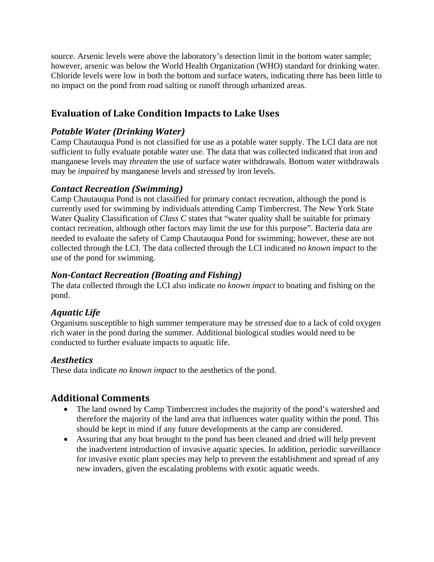source. Arsenic levels were above the laboratory's detection limit in the bottom water sample; however, arsenic was below the World Health Organization (WHO) standard for drinking water. Chloride levels were low in both the bottom and surface waters, indicating there has been little to no impact on the pond from road salting or runoff through urbanized areas.

### **Evaluation of Lake Condition Impacts to Lake Uses**

#### *Potable Water (Drinking Water)*

Camp Chautauqua Pond is not classified for use as a potable water supply. The LCI data are not sufficient to fully evaluate potable water use. The data that was collected indicated that iron and manganese levels may *threaten* the use of surface water withdrawals. Bottom water withdrawals may be *impaired* by manganese levels and *stressed* by iron levels.

#### *Contact Recreation (Swimming)*

Camp Chautauqua Pond is not classified for primary contact recreation, although the pond is currently used for swimming by individuals attending Camp Timbercrest. The New York State Water Quality Classification of *Class C* states that "water quality shall be suitable for primary contact recreation, although other factors may limit the use for this purpose". Bacteria data are needed to evaluate the safety of Camp Chautauqua Pond for swimming; however, these are not collected through the LCI. The data collected through the LCI indicated *no known impact* to the use of the pond for swimming.

#### *NonContact Recreation (Boating and Fishing)*

The data collected through the LCI also indicate *no known impact* to boating and fishing on the pond.

#### *Aquatic Life*

Organisms susceptible to high summer temperature may be *stressed* due to a lack of cold oxygen rich water in the pond during the summer. Additional biological studies would need to be conducted to further evaluate impacts to aquatic life.

#### *Aesthetics*

These data indicate *no known impact* to the aesthetics of the pond.

#### **Additional Comments**

- The land owned by Camp Timbercrest includes the majority of the pond's watershed and therefore the majority of the land area that influences water quality within the pond. This should be kept in mind if any future developments at the camp are considered.
- Assuring that any boat brought to the pond has been cleaned and dried will help prevent the inadvertent introduction of invasive aquatic species. In addition, periodic surveillance for invasive exotic plant species may help to prevent the establishment and spread of any new invaders, given the escalating problems with exotic aquatic weeds.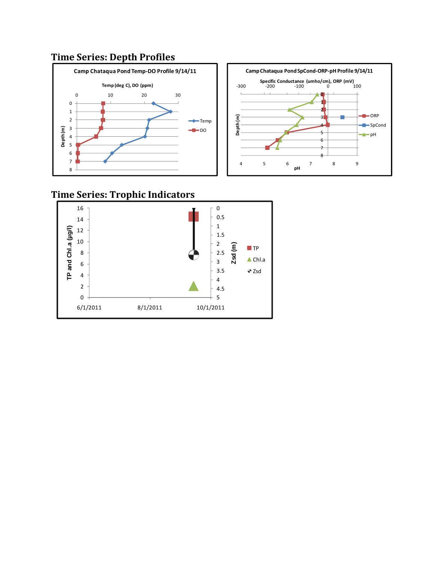### **Time Series: Depth Profiles**





## **Time Series: Trophic Indicators**

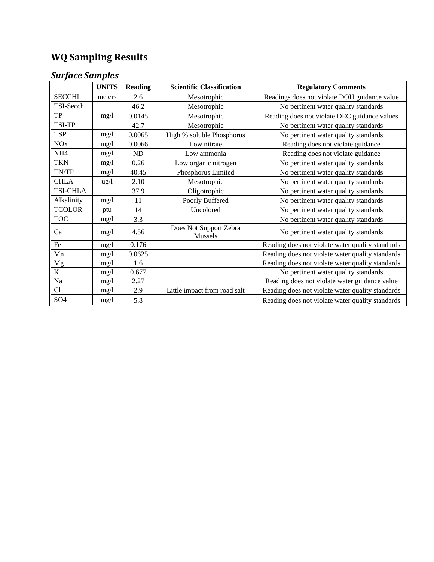# **WQ Sampling Results**

## *Surface Samples*

|                 | <b>UNITS</b> | <b>Reading</b> | <b>Scientific Classification</b>  | <b>Regulatory Comments</b>                       |
|-----------------|--------------|----------------|-----------------------------------|--------------------------------------------------|
| <b>SECCHI</b>   | meters       | 2.6            | Mesotrophic                       | Readings does not violate DOH guidance value     |
| TSI-Secchi      |              | 46.2           | Mesotrophic                       | No pertinent water quality standards             |
| TP              | mg/l         | 0.0145         | Mesotrophic                       | Reading does not violate DEC guidance values     |
| TSI-TP          |              | 42.7           | Mesotrophic                       | No pertinent water quality standards             |
| <b>TSP</b>      | mg/1         | 0.0065         | High % soluble Phosphorus         | No pertinent water quality standards             |
| <b>NO</b> x     | mg/1         | 0.0066         | Low nitrate                       | Reading does not violate guidance                |
| NH <sub>4</sub> | mg/1         | ND             | Low ammonia                       | Reading does not violate guidance                |
| <b>TKN</b>      | mg/1         | 0.26           | Low organic nitrogen              | No pertinent water quality standards             |
| TN/TP           | mg/l         | 40.45          | Phosphorus Limited                | No pertinent water quality standards             |
| <b>CHLA</b>     | ug/l         | 2.10           | Mesotrophic                       | No pertinent water quality standards             |
| <b>TSI-CHLA</b> |              | 37.9           | Oligotrophic                      | No pertinent water quality standards             |
| Alkalinity      | mg/l         | 11             | Poorly Buffered                   | No pertinent water quality standards             |
| <b>TCOLOR</b>   | ptu          | 14             | Uncolored                         | No pertinent water quality standards             |
| <b>TOC</b>      | mg/l         | 3.3            |                                   | No pertinent water quality standards             |
| Ca              | mg/1         | 4.56           | Does Not Support Zebra<br>Mussels | No pertinent water quality standards             |
| $\rm Fe$        | mg/1         | 0.176          |                                   | Reading does not violate water quality standards |
| Mn              | mg/l         | 0.0625         |                                   | Reading does not violate water quality standards |
| <b>Mg</b>       | mg/l         | 1.6            |                                   | Reading does not violate water quality standards |
| $\overline{K}$  | mg/1         | 0.677          |                                   | No pertinent water quality standards             |
| Na              | mg/l         | 2.27           |                                   | Reading does not violate water guidance value    |
| Cl              | mg/1         | 2.9            | Little impact from road salt      | Reading does not violate water quality standards |
| SO <sub>4</sub> | mg/l         | 5.8            |                                   | Reading does not violate water quality standards |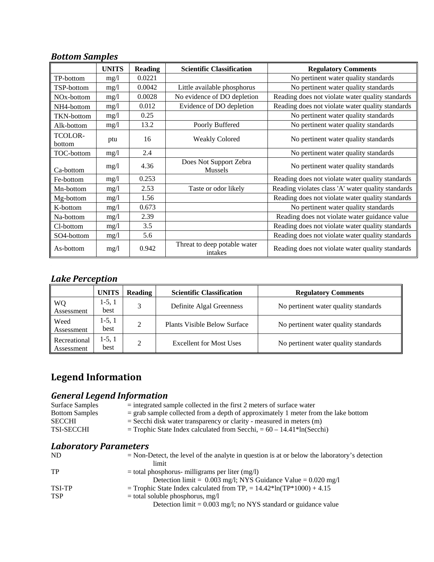## *Bottom Samples*

|                          | <b>UNITS</b> | <b>Reading</b> | <b>Scientific Classification</b>        | <b>Regulatory Comments</b>                         |
|--------------------------|--------------|----------------|-----------------------------------------|----------------------------------------------------|
| TP-bottom                | mg/1         | 0.0221         |                                         | No pertinent water quality standards               |
| TSP-bottom               | mg/1         | 0.0042         | Little available phosphorus             | No pertinent water quality standards               |
| NO <sub>x</sub> -bottom  | mg/1         | 0.0028         | No evidence of DO depletion             | Reading does not violate water quality standards   |
| NH4-bottom               | mg/l         | 0.012          | Evidence of DO depletion                | Reading does not violate water quality standards   |
| <b>TKN-bottom</b>        | mg/1         | 0.25           |                                         | No pertinent water quality standards               |
| Alk-bottom               | mg/1         | 13.2           | Poorly Buffered                         | No pertinent water quality standards               |
| <b>TCOLOR-</b><br>bottom | ptu          | 16             | <b>Weakly Colored</b>                   | No pertinent water quality standards               |
| TOC-bottom               | mg/1         | 2.4            |                                         | No pertinent water quality standards               |
| Ca-bottom                | mg/1         | 4.36           | Does Not Support Zebra<br>Mussels       | No pertinent water quality standards               |
| Fe-bottom                | mg/1         | 0.253          |                                         | Reading does not violate water quality standards   |
| Mn-bottom                | mg/1         | 2.53           | Taste or odor likely                    | Reading violates class 'A' water quality standards |
| Mg-bottom                | mg/l         | 1.56           |                                         | Reading does not violate water quality standards   |
| K-bottom                 | mg/1         | 0.673          |                                         | No pertinent water quality standards               |
| Na-bottom                | mg/1         | 2.39           |                                         | Reading does not violate water guidance value      |
| Cl-bottom                | mg/l         | 3.5            |                                         | Reading does not violate water quality standards   |
| SO <sub>4</sub> -bottom  | mg/1         | 5.6            |                                         | Reading does not violate water quality standards   |
| As-bottom                | mg/1         | 0.942          | Threat to deep potable water<br>intakes | Reading does not violate water quality standards   |

## *Lake Perception*

|                            | <b>UNITS</b>     | <b>Reading</b> | <b>Scientific Classification</b>    | <b>Regulatory Comments</b>           |
|----------------------------|------------------|----------------|-------------------------------------|--------------------------------------|
| WQ<br>Assessment           | 1-5, 1<br>best   | 3              | Definite Algal Greenness            | No pertinent water quality standards |
| Weed<br>Assessment         | $1-5, 1$<br>best | 2              | <b>Plants Visible Below Surface</b> | No pertinent water quality standards |
| Recreational<br>Assessment | $1-5, 1$<br>best | າ              | <b>Excellent for Most Uses</b>      | No pertinent water quality standards |

## **Legend Information**

### *General Legend Information*

| Surface Samples       | $=$ integrated sample collected in the first 2 meters of surface water                 |
|-----------------------|----------------------------------------------------------------------------------------|
| <b>Bottom Samples</b> | $=$ grab sample collected from a depth of approximately 1 meter from the lake bottom   |
| <b>SECCHI</b>         | $=$ Secchi disk water transparency or clarity - measured in meters (m)                 |
| <b>TSI-SECCHI</b>     | $=$ Trophic State Index calculated from Secchi, $= 60 - 14.41$ <sup>*</sup> ln(Secchi) |

#### *Laboratory Parameters*

| <b>ND</b>  | $=$ Non-Detect, the level of the analyte in question is at or below the laboratory's detection |
|------------|------------------------------------------------------------------------------------------------|
|            | limit                                                                                          |
| TP         | $=$ total phosphorus- milligrams per liter (mg/l)                                              |
|            | Detection limit = $0.003$ mg/l; NYS Guidance Value = $0.020$ mg/l                              |
| TSI-TP     | = Trophic State Index calculated from TP, = $14.42*ln(TP*1000) + 4.15$                         |
| <b>TSP</b> | $=$ total soluble phosphorus, mg/l                                                             |
|            | Detection $\text{limit} = 0.003 \text{ mg/l}$ ; no NYS standard or guidance value              |